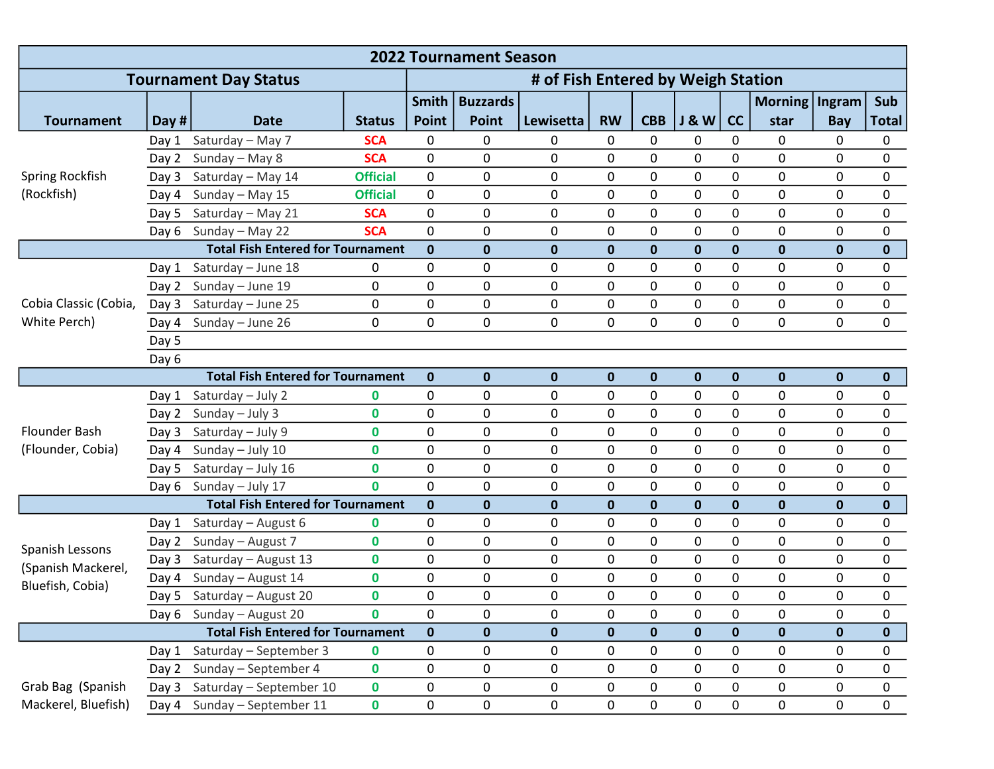| <b>2022 Tournament Season</b>                             |       |                                          |                 |                  |                                    |              |              |              |                |             |                  |              |              |  |
|-----------------------------------------------------------|-------|------------------------------------------|-----------------|------------------|------------------------------------|--------------|--------------|--------------|----------------|-------------|------------------|--------------|--------------|--|
| <b>Tournament Day Status</b>                              |       |                                          |                 |                  | # of Fish Entered by Weigh Station |              |              |              |                |             |                  |              |              |  |
|                                                           |       |                                          |                 | <b>Smith</b>     | <b>Buzzards</b>                    |              |              |              |                |             | Morning   Ingram |              | Sub          |  |
| <b>Tournament</b>                                         | Day # | <b>Date</b>                              | <b>Status</b>   | <b>Point</b>     | <b>Point</b>                       | Lewisetta    | <b>RW</b>    | <b>CBB</b>   | <b>J&amp;W</b> | cc          | star             | Bay          | <b>Total</b> |  |
| Spring Rockfish<br>(Rockfish)                             | Day 1 | Saturday - May 7                         | <b>SCA</b>      | 0                | 0                                  | 0            | $\mathbf{0}$ | 0            | 0              | 0           | 0                | $\mathbf{0}$ | 0            |  |
|                                                           | Day 2 | Sunday - May 8                           | <b>SCA</b>      | $\mathbf 0$      | 0                                  | 0            | 0            | 0            | 0              | 0           | 0                | 0            | 0            |  |
|                                                           | Day 3 | Saturday - May 14                        | <b>Official</b> | $\mathbf 0$      | 0                                  | 0            | 0            | 0            | $\mathbf 0$    | 0           | 0                | $\mathbf 0$  | 0            |  |
|                                                           | Day 4 | Sunday - May 15                          | <b>Official</b> | $\pmb{0}$        | 0                                  | 0            | 0            | 0            | 0              | 0           | 0                | 0            | 0            |  |
|                                                           | Day 5 | Saturday - May 21                        | <b>SCA</b>      | 0                | 0                                  | 0            | 0            | 0            | 0              | 0           | 0                | 0            | 0            |  |
|                                                           | Day 6 | Sunday - May 22                          | <b>SCA</b>      | $\mathbf 0$      | 0                                  | 0            | 0            | 0            | 0              | 0           | 0                | $\mathbf 0$  | 0            |  |
|                                                           |       | <b>Total Fish Entered for Tournament</b> |                 | $\mathbf 0$      | $\mathbf 0$                        | $\mathbf 0$  | $\bf{0}$     | $\mathbf{0}$ | $\mathbf 0$    | $\pmb{0}$   | $\mathbf 0$      | $\mathbf 0$  | 0            |  |
| Cobia Classic (Cobia,<br>White Perch)                     | Day 1 | Saturday - June 18                       | 0               | 0                | 0                                  | 0            | 0            | 0            | 0              | 0           | 0                | 0            | 0            |  |
|                                                           | Day 2 | Sunday - June 19                         | 0               | $\pmb{0}$        | 0                                  | 0            | $\mathbf 0$  | 0            | 0              | 0           | 0                | $\mathbf 0$  | 0            |  |
|                                                           | Day 3 | Saturday - June 25                       | 0               | $\pmb{0}$        | 0                                  | 0            | 0            | 0            | 0              | 0           | 0                | $\mathbf 0$  | 0            |  |
|                                                           | Day 4 | Sunday - June 26                         | 0               | 0                | 0                                  | 0            | $\mathbf{0}$ | 0            | 0              | 0           | 0                | $\mathbf 0$  | $\mathbf 0$  |  |
|                                                           | Day 5 |                                          |                 |                  |                                    |              |              |              |                |             |                  |              |              |  |
|                                                           | Day 6 |                                          |                 |                  |                                    |              |              |              |                |             |                  |              |              |  |
|                                                           |       | <b>Total Fish Entered for Tournament</b> |                 | $\mathbf 0$      | $\mathbf 0$                        | $\mathbf 0$  | $\mathbf 0$  | $\mathbf 0$  | 0              | $\pmb{0}$   | $\pmb{0}$        | $\mathbf 0$  | $\mathbf 0$  |  |
| Flounder Bash<br>(Flounder, Cobia)                        | Day 1 | Saturday - July 2                        | 0               | $\pmb{0}$        | 0                                  | 0            | 0            | 0            | 0              | 0           | 0                | $\mathbf 0$  | 0            |  |
|                                                           | Day 2 | Sunday - July 3                          | $\mathbf 0$     | $\pmb{0}$        | 0                                  | 0            | 0            | 0            | 0              | 0           | 0                | $\mathbf 0$  | 0            |  |
|                                                           | Day 3 | Saturday - July 9                        | 0               | 0                | 0                                  | 0            | 0            | 0            | 0              | 0           | 0                | 0            | 0            |  |
|                                                           | Day 4 | Sunday - July 10                         | 0               | $\mathbf 0$      | 0                                  | 0            | $\mathbf{0}$ | 0            | 0              | 0           | 0                | $\mathbf 0$  | 0            |  |
|                                                           | Day 5 | Saturday - July 16                       | $\mathbf 0$     | $\pmb{0}$        | 0                                  | 0            | 0            | 0            | 0              | 0           | 0                | 0            | 0            |  |
|                                                           | Day 6 | Sunday - July 17                         | $\mathbf{0}$    | 0                | 0                                  | 0            | 0            | 0            | 0              | 0           | 0                | $\mathbf 0$  | 0            |  |
| <b>Total Fish Entered for Tournament</b>                  |       |                                          |                 | $\mathbf 0$      | $\mathbf 0$                        | 0            | $\bf{0}$     | $\mathbf 0$  | $\bf{0}$       | $\mathbf 0$ | $\mathbf 0$      | $\mathbf 0$  | 0            |  |
| Spanish Lessons<br>(Spanish Mackerel,<br>Bluefish, Cobia) | Day 1 | Saturday - August 6                      | 0               | 0                | 0                                  | 0            | 0            | 0            | 0              | 0           | 0                | $\mathbf 0$  | 0            |  |
|                                                           | Day 2 | Sunday - August 7                        | $\mathbf 0$     | 0                | 0                                  | 0            | 0            | 0            | 0              | 0           | 0                | $\mathbf 0$  | 0            |  |
|                                                           | Day 3 | Saturday - August 13                     | 0               | 0                | 0                                  | 0            | 0            | 0            | 0              | 0           | 0                | $\mathbf{0}$ | 0            |  |
|                                                           | Day 4 | Sunday - August 14                       | 0               | 0                | 0                                  | 0            | 0            | 0            | 0              | 0           | 0                | $\mathbf 0$  | 0            |  |
|                                                           | Day 5 | Saturday - August 20                     | $\mathbf 0$     | $\mathbf 0$      | 0                                  | 0            | $\mathbf{0}$ | 0            | 0              | 0           | 0                | $\mathbf 0$  | 0            |  |
|                                                           |       | Day 6 Sunday - August 20                 | 0               | 0<br>$\mathbf 0$ | 0                                  | 0            | 0            | 0            | 0              | 0           | 0                | 0            | 0            |  |
| <b>Total Fish Entered for Tournament</b>                  |       |                                          |                 |                  | $\mathbf 0$                        | $\mathbf{0}$ | $\mathbf 0$  | $\mathbf 0$  | $\mathbf 0$    | $\mathbf 0$ | $\mathbf 0$      | $\mathbf 0$  | $\mathbf{0}$ |  |
|                                                           | Day 1 | Saturday - September 3                   | 0               | $\pmb{0}$        | 0                                  | 0            | 0            | 0            | 0              | 0           | 0                | 0            | 0            |  |
|                                                           | Day 2 | Sunday - September 4                     | $\mathbf 0$     | 0                | 0                                  | 0            | 0            | 0            | $\pmb{0}$      | 0           | 0                | 0            | 0            |  |
| Grab Bag (Spanish                                         | Day 3 | Saturday - September 10                  | $\mathbf 0$     | 0                | 0                                  | 0            | 0            | 0            | 0              | 0           | 0                | 0            | 0            |  |
| Mackerel, Bluefish)                                       | Day 4 | Sunday - September 11                    | 0               | 0                | 0                                  | 0            | 0            | 0            | 0              | 0           | 0                | 0            | 0            |  |